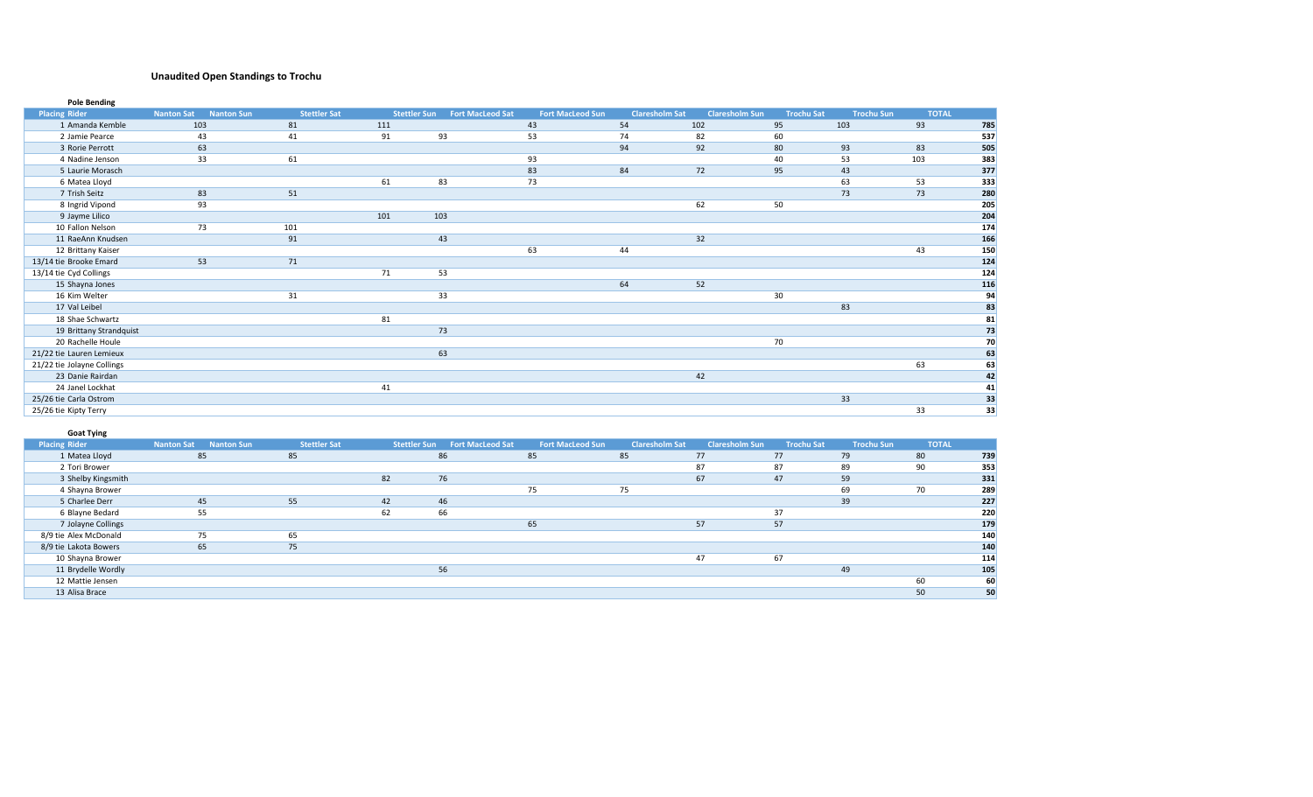# **Unaudited Open Standings to Trochu**

| <b>Placing Rider</b>       | <b>Nanton Sat</b><br><b>Nanton Sun</b> | <b>Stettler Sat</b> | <b>Stettler Sun</b> | <b>Fort MacLeod Sat</b> | <b>Fort MacLeod Sun</b> | <b>Claresholm Sat</b> | <b>Claresholm Sun</b> | <b>Trochu Sat</b> | <b>Trochu Sun</b> | <b>TOTAL</b> |                 |
|----------------------------|----------------------------------------|---------------------|---------------------|-------------------------|-------------------------|-----------------------|-----------------------|-------------------|-------------------|--------------|-----------------|
| 1 Amanda Kemble            | 103                                    | 81                  | 111                 |                         | 43                      | 54                    | 102                   | 95                | 103               | 93           | 785             |
| 2 Jamie Pearce             | 43                                     | 41                  | 91                  | 93                      | 53                      | 74                    | 82                    | 60                |                   |              | 537             |
| 3 Rorie Perrott            | 63                                     |                     |                     |                         |                         | 94                    | 92                    | 80                | 93                | 83           | 505             |
| 4 Nadine Jenson            | 33                                     | 61                  |                     |                         | 93                      |                       |                       | 40                | 53                | 103          | 383             |
| 5 Laurie Morasch           |                                        |                     |                     |                         | 83                      | 84                    | 72                    | 95                | 43                |              | 377             |
| 6 Matea Lloyd              |                                        |                     | 61                  | 83                      | 73                      |                       |                       |                   | 63                | 53           | 333             |
| 7 Trish Seitz              | 83                                     | 51                  |                     |                         |                         |                       |                       |                   | 73                | 73           | 280             |
| 8 Ingrid Vipond            | 93                                     |                     |                     |                         |                         |                       | 62                    | 50                |                   |              | 205             |
| 9 Jayme Lilico             |                                        |                     | 101                 | 103                     |                         |                       |                       |                   |                   |              | 204             |
| 10 Fallon Nelson           | 73                                     | 101                 |                     |                         |                         |                       |                       |                   |                   |              | 174             |
| 11 RaeAnn Knudsen          |                                        | 91                  |                     | 43                      |                         |                       | 32                    |                   |                   |              | 166             |
| 12 Brittany Kaiser         |                                        |                     |                     |                         | 63                      | 44                    |                       |                   |                   | 43           | 150             |
| 13/14 tie Brooke Emard     | 53                                     | 71                  |                     |                         |                         |                       |                       |                   |                   |              | 124             |
| 13/14 tie Cyd Collings     |                                        |                     | 71                  | 53                      |                         |                       |                       |                   |                   |              | 124             |
| 15 Shayna Jones            |                                        |                     |                     |                         |                         | 64                    | 52                    |                   |                   |              | 116             |
| 16 Kim Welter              |                                        | 31                  |                     | 33                      |                         |                       |                       | 30                |                   |              | 94              |
| 17 Val Leibel              |                                        |                     |                     |                         |                         |                       |                       |                   | 83                |              | 83              |
| 18 Shae Schwartz           |                                        |                     | 81                  |                         |                         |                       |                       |                   |                   |              | $\frac{81}{73}$ |
| 19 Brittany Strandquist    |                                        |                     |                     | 73                      |                         |                       |                       |                   |                   |              |                 |
| 20 Rachelle Houle          |                                        |                     |                     |                         |                         |                       |                       | 70                |                   |              | 70              |
| 21/22 tie Lauren Lemieux   |                                        |                     |                     | 63                      |                         |                       |                       |                   |                   |              | 63              |
| 21/22 tie Jolayne Collings |                                        |                     |                     |                         |                         |                       |                       |                   |                   | 63           | 63              |
| 23 Danie Rairdan           |                                        |                     |                     |                         |                         |                       | 42                    |                   |                   |              | 42              |
| 24 Janel Lockhat           |                                        |                     | 41                  |                         |                         |                       |                       |                   |                   |              | 41              |
| 25/26 tie Carla Ostrom     |                                        |                     |                     |                         |                         |                       |                       |                   | 33                |              | 33              |
| 25/26 tie Kipty Terry      |                                        |                     |                     |                         |                         |                       |                       |                   |                   | 33           | 33              |

| <b>Goat Tying</b>     |                              |                     |                     |                         |                         |                       |                       |                   |                   |              |     |
|-----------------------|------------------------------|---------------------|---------------------|-------------------------|-------------------------|-----------------------|-----------------------|-------------------|-------------------|--------------|-----|
| <b>Placing Rider</b>  | <b>Nanton Sat Nanton Sun</b> | <b>Stettler Sat</b> | <b>Stettler Sun</b> | <b>Fort MacLeod Sat</b> | <b>Fort MacLeod Sun</b> | <b>Claresholm Sat</b> | <b>Claresholm Sun</b> | <b>Trochu Sat</b> | <b>Trochu Sun</b> | <b>TOTAL</b> |     |
| 1 Matea Lloyd         | 85                           | 85                  |                     | 86                      | 85                      | 85                    | 77                    | 77                | 79                | 80           | 739 |
| 2 Tori Brower         |                              |                     |                     |                         |                         |                       | 87                    | 87                | 89                | 90           | 353 |
| 3 Shelby Kingsmith    |                              |                     | 82                  | 76                      |                         |                       | 67                    | 47                | 59                |              | 331 |
| 4 Shayna Brower       |                              |                     |                     |                         | 75                      | 75                    |                       |                   | 69                | 70           | 289 |
| 5 Charlee Derr        | 45                           | 55                  | 42                  | 46                      |                         |                       |                       |                   | 39                |              | 227 |
| 6 Blayne Bedard       | 55                           |                     | 62                  | 66                      |                         |                       |                       | 37                |                   |              | 220 |
| 7 Jolayne Collings    |                              |                     |                     |                         | 65                      |                       | 57                    | 57                |                   |              | 179 |
| 8/9 tie Alex McDonald | 75                           | 65                  |                     |                         |                         |                       |                       |                   |                   |              | 140 |
| 8/9 tie Lakota Bowers | 65                           | 75                  |                     |                         |                         |                       |                       |                   |                   |              | 140 |
| 10 Shayna Brower      |                              |                     |                     |                         |                         |                       | 47                    | 67                |                   |              | 114 |
| 11 Brydelle Wordly    |                              |                     |                     | 56                      |                         |                       |                       |                   | 49                |              | 105 |
| 12 Mattie Jensen      |                              |                     |                     |                         |                         |                       |                       |                   |                   | 60           | 60  |
| 13 Alisa Brace        |                              |                     |                     |                         |                         |                       |                       |                   |                   | 50           | 50  |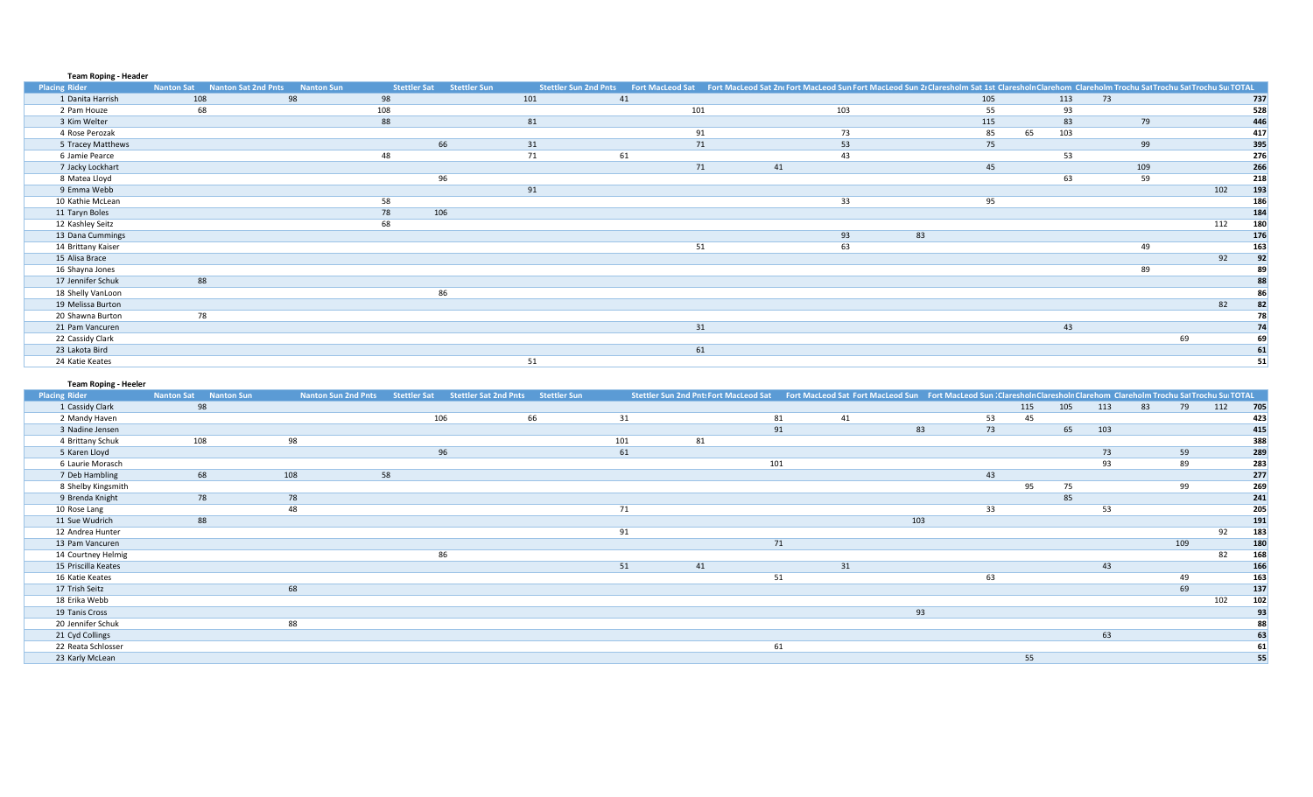### **Team Roping - Header**

| <b>Placing Rider</b> | <b>Nanton Sat</b> | <b>Nanton Sat 2nd Pnts</b> | <b>Nanton Sun</b> | <b>Stettler Sat</b> | <b>Stettler Sun</b> | <b>Stettler Sun 2nd Pnts</b> |    |     |    | Fort MacLeod Sat Fort MacLeod Sat 2nt Fort MacLeod Sun Fort MacLeod Sun 21 Claresholm Sat 1st Claresholn Clarehom Clareholm Trochu Sat Trochu Sat Trochu Sun TOTAL |     |    |     |     |    |     |     |
|----------------------|-------------------|----------------------------|-------------------|---------------------|---------------------|------------------------------|----|-----|----|--------------------------------------------------------------------------------------------------------------------------------------------------------------------|-----|----|-----|-----|----|-----|-----|
| 1 Danita Harrish     | 108               |                            | 98                | 98                  |                     | 101                          | 41 |     |    |                                                                                                                                                                    | 105 |    | 113 | 73  |    |     | 737 |
| 2 Pam Houze          |                   | 68                         |                   | 108                 |                     |                              |    | 101 |    | 103                                                                                                                                                                | 55  |    | 93  |     |    |     | 528 |
| 3 Kim Welter         |                   |                            |                   | 88                  |                     | 81                           |    |     |    |                                                                                                                                                                    | 115 |    | 83  | 79  |    |     | 446 |
| 4 Rose Perozak       |                   |                            |                   |                     |                     |                              |    |     | 91 | 73                                                                                                                                                                 | 85  | 65 | 103 |     |    |     | 417 |
| 5 Tracey Matthews    |                   |                            |                   |                     | 66                  | 31                           |    |     | 71 | 53                                                                                                                                                                 | 75  |    |     | 99  |    |     | 395 |
| 6 Jamie Pearce       |                   |                            |                   | 48                  |                     | 71                           | 61 |     |    | 43                                                                                                                                                                 |     |    | 53  |     |    |     | 276 |
| 7 Jacky Lockhart     |                   |                            |                   |                     |                     |                              |    |     | 71 | 41                                                                                                                                                                 | 45  |    |     | 109 |    |     | 266 |
| 8 Matea Lloyd        |                   |                            |                   |                     | 96                  |                              |    |     |    |                                                                                                                                                                    |     |    | 63  | 59  |    |     | 218 |
| 9 Emma Webb          |                   |                            |                   |                     |                     | 91                           |    |     |    |                                                                                                                                                                    |     |    |     |     |    | 102 | 193 |
| 10 Kathie McLean     |                   |                            |                   | 58                  |                     |                              |    |     |    | 33                                                                                                                                                                 | 95  |    |     |     |    |     | 186 |
| 11 Taryn Boles       |                   |                            |                   | 78                  | 106                 |                              |    |     |    |                                                                                                                                                                    |     |    |     |     |    |     | 184 |
| 12 Kashley Seitz     |                   |                            |                   | 68                  |                     |                              |    |     |    |                                                                                                                                                                    |     |    |     |     |    | 112 | 180 |
| 13 Dana Cummings     |                   |                            |                   |                     |                     |                              |    |     |    | 93                                                                                                                                                                 | 83  |    |     |     |    |     | 176 |
| 14 Brittany Kaiser   |                   |                            |                   |                     |                     |                              |    |     | 51 | 63                                                                                                                                                                 |     |    |     | 49  |    |     | 163 |
| 15 Alisa Brace       |                   |                            |                   |                     |                     |                              |    |     |    |                                                                                                                                                                    |     |    |     |     |    | 92  | 92  |
| 16 Shayna Jones      |                   |                            |                   |                     |                     |                              |    |     |    |                                                                                                                                                                    |     |    |     | 89  |    |     | 89  |
| 17 Jennifer Schuk    |                   | 88                         |                   |                     |                     |                              |    |     |    |                                                                                                                                                                    |     |    |     |     |    |     | 88  |
| 18 Shelly VanLoon    |                   |                            |                   |                     | 86                  |                              |    |     |    |                                                                                                                                                                    |     |    |     |     |    |     | 86  |
| 19 Melissa Burton    |                   |                            |                   |                     |                     |                              |    |     |    |                                                                                                                                                                    |     |    |     |     |    | 82  |     |
| 20 Shawna Burton     |                   | 78                         |                   |                     |                     |                              |    |     |    |                                                                                                                                                                    |     |    |     |     |    |     | 78  |
| 21 Pam Vancuren      |                   |                            |                   |                     |                     |                              |    |     | 31 |                                                                                                                                                                    |     |    | 43  |     |    |     | 74  |
| 22 Cassidy Clark     |                   |                            |                   |                     |                     |                              |    |     |    |                                                                                                                                                                    |     |    |     |     | 69 |     | 69  |
| 23 Lakota Bird       |                   |                            |                   |                     |                     |                              |    |     | 61 |                                                                                                                                                                    |     |    |     |     |    |     | 61  |
| 24 Katie Keates      |                   |                            |                   |                     |                     | 51                           |    |     |    |                                                                                                                                                                    |     |    |     |     |    |     | 51  |

# **Team Roping - Heeler**

| .<br><b>Placing Rider</b> | <b>Nanton Sat</b><br><b>Nanton Sun</b> | <b>Nanton Sun 2nd Pnts</b> | Stettler Sat | <b>Stettler Sat 2nd Pnts</b> | Stettler Sun |     | Stettler Sun 2nd Pnt: Fort MacLeod Sat |     | Fort MacLeod Sat Fort MacLeod Sun Fort MacLeod Sun   Claresholn Claresholn Clarehom Clareholm Trochu Sat Trochu Sur TOTAL |     |    |     |     |     |    |     |     |     |
|---------------------------|----------------------------------------|----------------------------|--------------|------------------------------|--------------|-----|----------------------------------------|-----|---------------------------------------------------------------------------------------------------------------------------|-----|----|-----|-----|-----|----|-----|-----|-----|
| 1 Cassidy Clark           | 98                                     |                            |              |                              |              |     |                                        |     |                                                                                                                           |     |    | 115 | 105 | 113 | 83 | 79  | 112 | 705 |
| 2 Mandy Haven             |                                        |                            | 106          |                              | 66           | 31  |                                        | 81  | 41                                                                                                                        |     | 53 | 45  |     |     |    |     |     | 423 |
| 3 Nadine Jensen           |                                        |                            |              |                              |              |     |                                        | 91  |                                                                                                                           | 83  | 73 |     | 65  | 103 |    |     |     | 415 |
| 4 Brittany Schuk          | 108                                    | 98                         |              |                              |              | 101 | 81                                     |     |                                                                                                                           |     |    |     |     |     |    |     |     | 388 |
| 5 Karen Lloyd             |                                        |                            | 96           |                              |              | 61  |                                        |     |                                                                                                                           |     |    |     |     | 73  |    | 59  |     | 289 |
| 6 Laurie Morasch          |                                        |                            |              |                              |              |     |                                        | 101 |                                                                                                                           |     |    |     |     | 93  |    | 89  |     | 283 |
| 7 Deb Hambling            | 68                                     | 108                        | 58           |                              |              |     |                                        |     |                                                                                                                           |     | 43 |     |     |     |    |     |     | 277 |
| 8 Shelby Kingsmith        |                                        |                            |              |                              |              |     |                                        |     |                                                                                                                           |     |    | 95  | 75  |     |    | 99  |     | 269 |
| 9 Brenda Knight           | 78                                     | 78                         |              |                              |              |     |                                        |     |                                                                                                                           |     |    |     | 85  |     |    |     |     | 241 |
| 10 Rose Lang              |                                        | 48                         |              |                              |              | 71  |                                        |     |                                                                                                                           |     | 33 |     |     | 53  |    |     |     | 205 |
| 11 Sue Wudrich            | 88                                     |                            |              |                              |              |     |                                        |     |                                                                                                                           | 103 |    |     |     |     |    |     |     | 191 |
| 12 Andrea Hunter          |                                        |                            |              |                              |              | 91  |                                        |     |                                                                                                                           |     |    |     |     |     |    |     | 92  | 183 |
| 13 Pam Vancuren           |                                        |                            |              |                              |              |     |                                        | 71  |                                                                                                                           |     |    |     |     |     |    | 109 |     | 180 |
| 14 Courtney Helmig        |                                        |                            | 86           |                              |              |     |                                        |     |                                                                                                                           |     |    |     |     |     |    |     | 82  | 168 |
| 15 Priscilla Keates       |                                        |                            |              |                              |              | 51  | 41                                     |     | 31                                                                                                                        |     |    |     |     | 43  |    |     |     | 166 |
| 16 Katie Keates           |                                        |                            |              |                              |              |     |                                        | 51  |                                                                                                                           |     | 63 |     |     |     |    | 49  |     | 163 |
| 17 Trish Seitz            |                                        | 68                         |              |                              |              |     |                                        |     |                                                                                                                           |     |    |     |     |     |    | 69  |     | 137 |
| 18 Erika Webb             |                                        |                            |              |                              |              |     |                                        |     |                                                                                                                           |     |    |     |     |     |    |     | 102 | 102 |
| 19 Tanis Cross            |                                        |                            |              |                              |              |     |                                        |     |                                                                                                                           | 93  |    |     |     |     |    |     |     | 93  |
| 20 Jennifer Schuk         |                                        | 88                         |              |                              |              |     |                                        |     |                                                                                                                           |     |    |     |     |     |    |     |     | 88  |
| 21 Cyd Collings           |                                        |                            |              |                              |              |     |                                        |     |                                                                                                                           |     |    |     |     | 63  |    |     |     | 63  |
| 22 Reata Schlosser        |                                        |                            |              |                              |              |     |                                        | 61  |                                                                                                                           |     |    |     |     |     |    |     |     | 61  |
| 23 Karly McLean           |                                        |                            |              |                              |              |     |                                        |     |                                                                                                                           |     |    | 55  |     |     |    |     |     | 55  |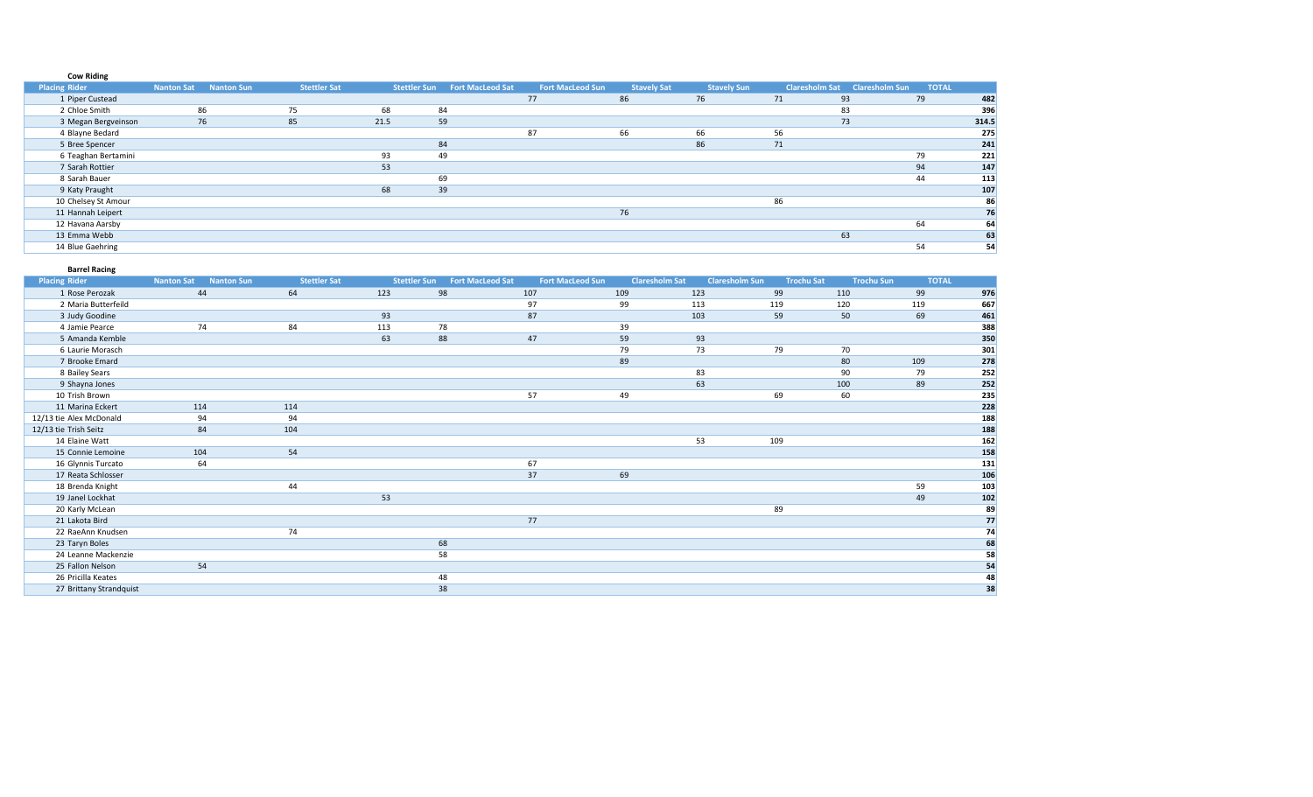# **Cow Riding**

| <b>Placing Rider</b> | <b>Nanton Sun</b><br><b>Nanton Sat</b> | <b>Stettler Sat</b> | Stettler Sun | <b>Fort MacLeod Sat</b> | <b>Fort MacLeod Sun</b> | <b>Stavely Sat</b> | <b>Stavely Sun</b> |    | Claresholm Sat Claresholm Sun | <b>TOTAL</b> |       |
|----------------------|----------------------------------------|---------------------|--------------|-------------------------|-------------------------|--------------------|--------------------|----|-------------------------------|--------------|-------|
| 1 Piper Custead      |                                        |                     |              |                         | 77                      | 86                 | 76                 | 71 | 93                            | 79           | 482   |
| 2 Chloe Smith        | 86                                     | 75                  | 68           | 84                      |                         |                    |                    |    | 83                            |              | 396   |
| 3 Megan Bergveinson  | 76                                     | 85                  | 21.5         | 59                      |                         |                    |                    |    | 73                            |              | 314.5 |
| 4 Blayne Bedard      |                                        |                     |              |                         | 87                      | 66                 | 66                 | 56 |                               |              | 275   |
| 5 Bree Spencer       |                                        |                     |              | 84                      |                         |                    | 86                 | 71 |                               |              | 241   |
| 6 Teaghan Bertamini  |                                        |                     | 93           | 49                      |                         |                    |                    |    |                               | 79           | 221   |
| 7 Sarah Rottier      |                                        |                     | 53           |                         |                         |                    |                    |    |                               | 94           | 147   |
| 8 Sarah Bauer        |                                        |                     |              | 69                      |                         |                    |                    |    |                               | 44           | 113   |
| 9 Katy Praught       |                                        |                     | 68           | 39                      |                         |                    |                    |    |                               |              | 107   |
| 10 Chelsey St Amour  |                                        |                     |              |                         |                         |                    |                    | 86 |                               |              | 86    |
| 11 Hannah Leipert    |                                        |                     |              |                         |                         | 76                 |                    |    |                               |              | 76    |
| 12 Havana Aarsby     |                                        |                     |              |                         |                         |                    |                    |    |                               | 64           | 64    |
| 13 Emma Webb         |                                        |                     |              |                         |                         |                    |                    |    | 63                            |              | 63    |
| 14 Blue Gaehring     |                                        |                     |              |                         |                         |                    |                    |    |                               | 54           | 54    |

| <b>Barrel Racing</b>    |                   |                   |                     |                     |                         |                         |                       |                       |                   |                   |              |                                                                  |
|-------------------------|-------------------|-------------------|---------------------|---------------------|-------------------------|-------------------------|-----------------------|-----------------------|-------------------|-------------------|--------------|------------------------------------------------------------------|
| <b>Placing Rider</b>    | <b>Nanton Sat</b> | <b>Nanton Sun</b> | <b>Stettler Sat</b> | <b>Stettler Sun</b> | <b>Fort MacLeod Sat</b> | <b>Fort MacLeod Sun</b> | <b>Claresholm Sat</b> | <b>Claresholm Sun</b> | <b>Trochu Sat</b> | <b>Trochu Sun</b> | <b>TOTAL</b> |                                                                  |
| 1 Rose Perozak          | 44                |                   | 64                  | 123                 | 98                      | 107                     | 109                   | 123                   | 99                | 110               | 99           | 976                                                              |
| 2 Maria Butterfeild     |                   |                   |                     |                     |                         | 97                      | 99                    | 113                   | 119               | 120               | 119          | 667                                                              |
| 3 Judy Goodine          |                   |                   |                     | 93                  |                         | 87                      |                       | 103                   | 59                | 50                | 69           | 461                                                              |
| 4 Jamie Pearce          | 74                |                   | 84                  | 113                 | 78                      |                         | 39                    |                       |                   |                   |              | 388                                                              |
| 5 Amanda Kemble         |                   |                   |                     | 63                  | 88                      | 47                      | 59                    | 93                    |                   |                   |              | 350                                                              |
| 6 Laurie Morasch        |                   |                   |                     |                     |                         |                         | 79                    | 73                    | 79                | 70                |              | 301                                                              |
| 7 Brooke Emard          |                   |                   |                     |                     |                         |                         | 89                    |                       |                   | 80                | 109          | 278                                                              |
| 8 Bailey Sears          |                   |                   |                     |                     |                         |                         |                       | 83                    |                   | 90                | 79           | 252                                                              |
| 9 Shayna Jones          |                   |                   |                     |                     |                         |                         |                       | 63                    |                   | 100               | 89           | $\begin{array}{r} \n \textbf{252} \\ \textbf{235}\n \end{array}$ |
| 10 Trish Brown          |                   |                   |                     |                     |                         | 57                      | 49                    |                       | 69                | 60                |              |                                                                  |
| 11 Marina Eckert        | 114               |                   | 114                 |                     |                         |                         |                       |                       |                   |                   |              | 228                                                              |
| 12/13 tie Alex McDonald | 94                |                   | 94                  |                     |                         |                         |                       |                       |                   |                   |              | 188                                                              |
| 12/13 tie Trish Seitz   | 84                |                   | 104                 |                     |                         |                         |                       |                       |                   |                   |              | 188                                                              |
| 14 Elaine Watt          |                   |                   |                     |                     |                         |                         |                       | 53                    | 109               |                   |              | 162                                                              |
| 15 Connie Lemoine       | 104               |                   | 54                  |                     |                         |                         |                       |                       |                   |                   |              | 158                                                              |
| 16 Glynnis Turcato      | 64                |                   |                     |                     |                         | 67                      |                       |                       |                   |                   |              | 131                                                              |
| 17 Reata Schlosser      |                   |                   |                     |                     |                         | 37                      | 69                    |                       |                   |                   |              | 106                                                              |
| 18 Brenda Knight        |                   |                   | 44                  |                     |                         |                         |                       |                       |                   |                   | 59           | 103                                                              |
| 19 Janel Lockhat        |                   |                   |                     | 53                  |                         |                         |                       |                       |                   |                   | 49           | 102                                                              |
| 20 Karly McLean         |                   |                   |                     |                     |                         |                         |                       |                       | 89                |                   |              | 89                                                               |
| 21 Lakota Bird          |                   |                   |                     |                     |                         | 77                      |                       |                       |                   |                   |              | 77                                                               |
| 22 RaeAnn Knudsen       |                   |                   | 74                  |                     |                         |                         |                       |                       |                   |                   |              | 74                                                               |
| 23 Taryn Boles          |                   |                   |                     |                     | 68                      |                         |                       |                       |                   |                   |              | 68                                                               |
| 24 Leanne Mackenzie     |                   |                   |                     |                     | 58                      |                         |                       |                       |                   |                   |              | 58                                                               |
| 25 Fallon Nelson        | 54                |                   |                     |                     |                         |                         |                       |                       |                   |                   |              | 54                                                               |
| 26 Pricilla Keates      |                   |                   |                     |                     | 48                      |                         |                       |                       |                   |                   |              | 48                                                               |
| 27 Brittany Strandquist |                   |                   |                     |                     | 38                      |                         |                       |                       |                   |                   |              | 38                                                               |